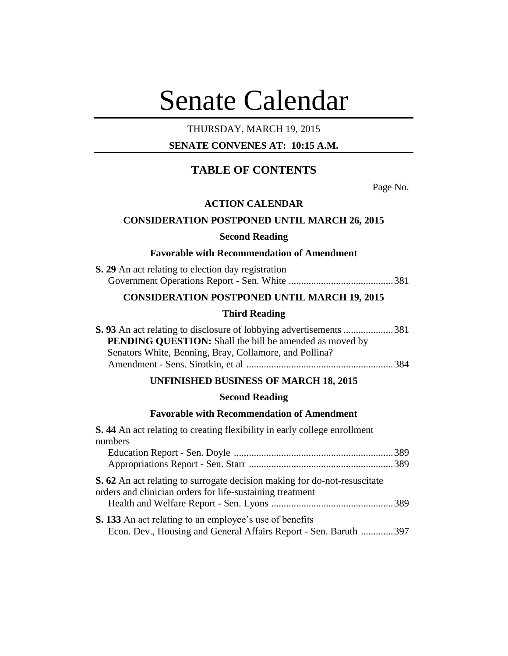# Senate Calendar

## THURSDAY, MARCH 19, 2015

## **SENATE CONVENES AT: 10:15 A.M.**

## **TABLE OF CONTENTS**

Page No.

## **ACTION CALENDAR**

## **CONSIDERATION POSTPONED UNTIL MARCH 26, 2015**

## **Second Reading**

#### **Favorable with Recommendation of Amendment**

| <b>S. 29</b> An act relating to election day registration |  |  |  |
|-----------------------------------------------------------|--|--|--|
|                                                           |  |  |  |

## **CONSIDERATION POSTPONED UNTIL MARCH 19, 2015**

## **Third Reading**

| <b>PENDING QUESTION:</b> Shall the bill be amended as moved by |  |
|----------------------------------------------------------------|--|
| Senators White, Benning, Bray, Collamore, and Pollina?         |  |
|                                                                |  |

## **UNFINISHED BUSINESS OF MARCH 18, 2015**

## **Second Reading**

#### **Favorable with Recommendation of Amendment**

**S. 44** An act relating to creating flexibility in early college enrollment numbers Education Report - Sen. Doyle ................................................................389 Appropriations Report - Sen. Starr ..........................................................389 **S. 62** An act relating to surrogate decision making for do-not-resuscitate orders and clinician orders for life-sustaining treatment Health and Welfare Report - Sen. Lyons .................................................389 **S. 133** An act relating to an employee's use of benefits Econ. Dev., Housing and General Affairs Report - Sen. Baruth .............397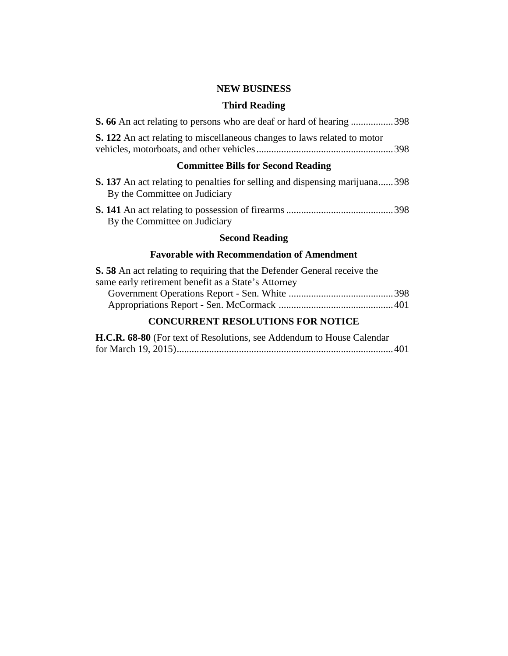## **NEW BUSINESS**

## **Third Reading**

| <b>S. 66</b> An act relating to persons who are deaf or hard of hearing 398     |  |
|---------------------------------------------------------------------------------|--|
| <b>S. 122</b> An act relating to miscellaneous changes to laws related to motor |  |

## **Committee Bills for Second Reading**

| <b>S. 137</b> An act relating to penalties for selling and dispensing marijuana 398<br>By the Committee on Judiciary |  |
|----------------------------------------------------------------------------------------------------------------------|--|
| By the Committee on Judiciary                                                                                        |  |

## **Second Reading**

## **Favorable with Recommendation of Amendment**

| <b>S.</b> 58 An act relating to requiring that the Defender General receive the |  |
|---------------------------------------------------------------------------------|--|
| same early retirement benefit as a State's Attorney                             |  |
|                                                                                 |  |
|                                                                                 |  |
|                                                                                 |  |

## **CONCURRENT RESOLUTIONS FOR NOTICE**

| H.C.R. 68-80 (For text of Resolutions, see Addendum to House Calendar |  |
|-----------------------------------------------------------------------|--|
|                                                                       |  |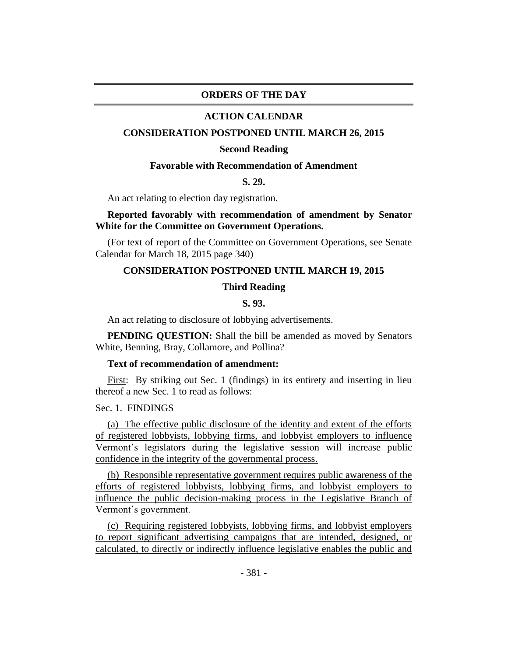## **ORDERS OF THE DAY**

#### **ACTION CALENDAR**

## **CONSIDERATION POSTPONED UNTIL MARCH 26, 2015**

#### **Second Reading**

## **Favorable with Recommendation of Amendment**

**S. 29.**

An act relating to election day registration.

## **Reported favorably with recommendation of amendment by Senator White for the Committee on Government Operations.**

(For text of report of the Committee on Government Operations, see Senate Calendar for March 18, 2015 page 340)

## **CONSIDERATION POSTPONED UNTIL MARCH 19, 2015**

## **Third Reading**

#### **S. 93.**

An act relating to disclosure of lobbying advertisements.

**PENDING QUESTION:** Shall the bill be amended as moved by Senators White, Benning, Bray, Collamore, and Pollina?

#### **Text of recommendation of amendment:**

First: By striking out Sec. 1 (findings) in its entirety and inserting in lieu thereof a new Sec. 1 to read as follows:

Sec. 1. FINDINGS

(a) The effective public disclosure of the identity and extent of the efforts of registered lobbyists, lobbying firms, and lobbyist employers to influence Vermont's legislators during the legislative session will increase public confidence in the integrity of the governmental process.

(b) Responsible representative government requires public awareness of the efforts of registered lobbyists, lobbying firms, and lobbyist employers to influence the public decision-making process in the Legislative Branch of Vermont's government.

(c) Requiring registered lobbyists, lobbying firms, and lobbyist employers to report significant advertising campaigns that are intended, designed, or calculated, to directly or indirectly influence legislative enables the public and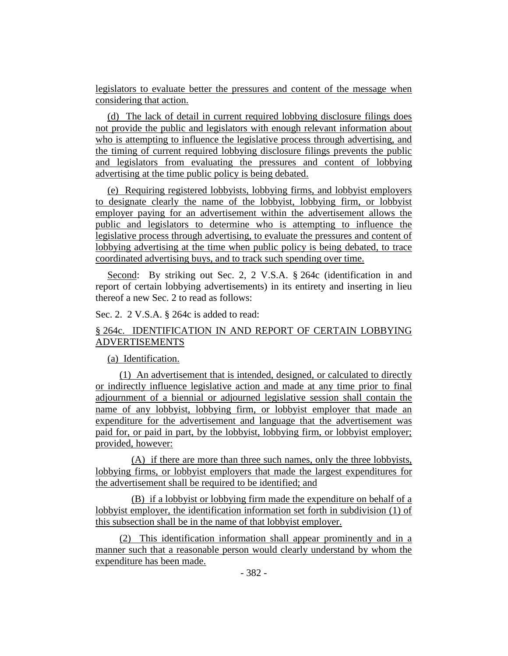legislators to evaluate better the pressures and content of the message when considering that action.

(d) The lack of detail in current required lobbying disclosure filings does not provide the public and legislators with enough relevant information about who is attempting to influence the legislative process through advertising, and the timing of current required lobbying disclosure filings prevents the public and legislators from evaluating the pressures and content of lobbying advertising at the time public policy is being debated.

(e) Requiring registered lobbyists, lobbying firms, and lobbyist employers to designate clearly the name of the lobbyist, lobbying firm, or lobbyist employer paying for an advertisement within the advertisement allows the public and legislators to determine who is attempting to influence the legislative process through advertising, to evaluate the pressures and content of lobbying advertising at the time when public policy is being debated, to trace coordinated advertising buys, and to track such spending over time.

Second: By striking out Sec. 2, 2 V.S.A. § 264c (identification in and report of certain lobbying advertisements) in its entirety and inserting in lieu thereof a new Sec. 2 to read as follows:

## Sec. 2. 2 V.S.A. § 264c is added to read:

## § 264c. IDENTIFICATION IN AND REPORT OF CERTAIN LOBBYING ADVERTISEMENTS

## (a) Identification.

(1) An advertisement that is intended, designed, or calculated to directly or indirectly influence legislative action and made at any time prior to final adjournment of a biennial or adjourned legislative session shall contain the name of any lobbyist, lobbying firm, or lobbyist employer that made an expenditure for the advertisement and language that the advertisement was paid for, or paid in part, by the lobbyist, lobbying firm, or lobbyist employer; provided, however:

(A) if there are more than three such names, only the three lobbyists, lobbying firms, or lobbyist employers that made the largest expenditures for the advertisement shall be required to be identified; and

(B) if a lobbyist or lobbying firm made the expenditure on behalf of a lobbyist employer, the identification information set forth in subdivision (1) of this subsection shall be in the name of that lobbyist employer.

(2) This identification information shall appear prominently and in a manner such that a reasonable person would clearly understand by whom the expenditure has been made.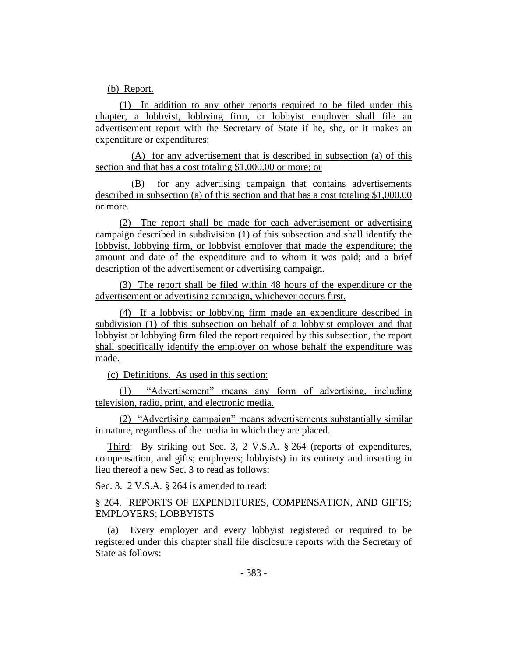(b) Report.

(1) In addition to any other reports required to be filed under this chapter, a lobbyist, lobbying firm, or lobbyist employer shall file an advertisement report with the Secretary of State if he, she, or it makes an expenditure or expenditures:

(A) for any advertisement that is described in subsection (a) of this section and that has a cost totaling \$1,000.00 or more; or

(B) for any advertising campaign that contains advertisements described in subsection (a) of this section and that has a cost totaling \$1,000.00 or more.

(2) The report shall be made for each advertisement or advertising campaign described in subdivision (1) of this subsection and shall identify the lobbyist, lobbying firm, or lobbyist employer that made the expenditure; the amount and date of the expenditure and to whom it was paid; and a brief description of the advertisement or advertising campaign.

(3) The report shall be filed within 48 hours of the expenditure or the advertisement or advertising campaign, whichever occurs first.

(4) If a lobbyist or lobbying firm made an expenditure described in subdivision (1) of this subsection on behalf of a lobbyist employer and that lobbyist or lobbying firm filed the report required by this subsection, the report shall specifically identify the employer on whose behalf the expenditure was made.

(c) Definitions. As used in this section:

(1) "Advertisement" means any form of advertising, including television, radio, print, and electronic media.

(2) "Advertising campaign" means advertisements substantially similar in nature, regardless of the media in which they are placed.

Third: By striking out Sec. 3, 2 V.S.A. § 264 (reports of expenditures, compensation, and gifts; employers; lobbyists) in its entirety and inserting in lieu thereof a new Sec. 3 to read as follows:

Sec. 3. 2 V.S.A. § 264 is amended to read:

§ 264. REPORTS OF EXPENDITURES, COMPENSATION, AND GIFTS; EMPLOYERS; LOBBYISTS

(a) Every employer and every lobbyist registered or required to be registered under this chapter shall file disclosure reports with the Secretary of State as follows: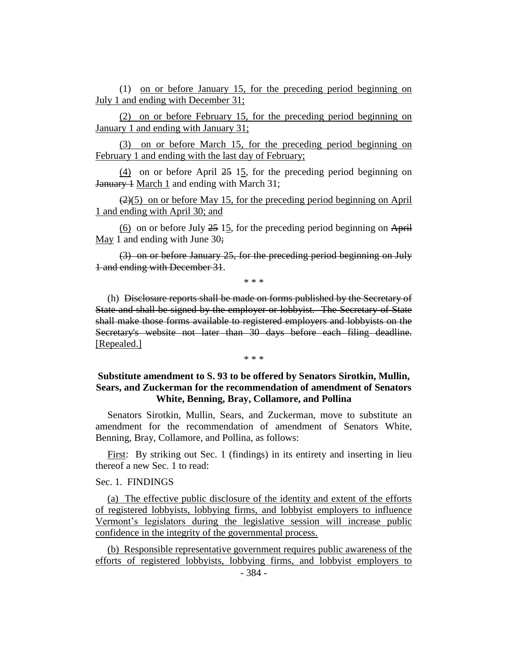(1) on or before January 15, for the preceding period beginning on July 1 and ending with December 31;

(2) on or before February 15, for the preceding period beginning on January 1 and ending with January 31;

(3) on or before March 15, for the preceding period beginning on February 1 and ending with the last day of February;

(4) on or before April 25 15, for the preceding period beginning on January 1 March 1 and ending with March 31;

 $(2)(5)$  on or before May 15, for the preceding period beginning on April 1 and ending with April 30; and

 $(6)$  on or before July 25 15, for the preceding period beginning on April May 1 and ending with June 30;

(3) on or before January 25, for the preceding period beginning on July 1 and ending with December 31.

\* \* \*

(h) Disclosure reports shall be made on forms published by the Secretary of State and shall be signed by the employer or lobbyist. The Secretary of State shall make those forms available to registered employers and lobbyists on the Secretary's website not later than 30 days before each filing deadline. [Repealed.]

\* \* \*

## **Substitute amendment to S. 93 to be offered by Senators Sirotkin, Mullin, Sears, and Zuckerman for the recommendation of amendment of Senators White, Benning, Bray, Collamore, and Pollina**

Senators Sirotkin, Mullin, Sears, and Zuckerman, move to substitute an amendment for the recommendation of amendment of Senators White, Benning, Bray, Collamore, and Pollina, as follows:

First: By striking out Sec. 1 (findings) in its entirety and inserting in lieu thereof a new Sec. 1 to read:

## Sec. 1. FINDINGS

(a) The effective public disclosure of the identity and extent of the efforts of registered lobbyists, lobbying firms, and lobbyist employers to influence Vermont's legislators during the legislative session will increase public confidence in the integrity of the governmental process.

(b) Responsible representative government requires public awareness of the efforts of registered lobbyists, lobbying firms, and lobbyist employers to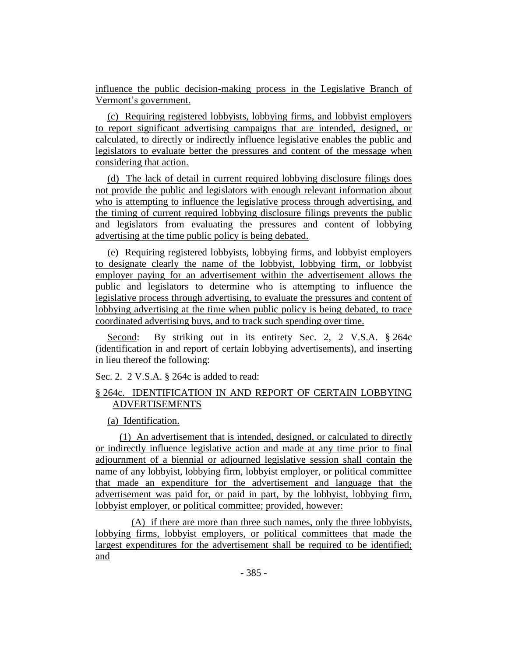influence the public decision-making process in the Legislative Branch of Vermont's government.

(c) Requiring registered lobbyists, lobbying firms, and lobbyist employers to report significant advertising campaigns that are intended, designed, or calculated, to directly or indirectly influence legislative enables the public and legislators to evaluate better the pressures and content of the message when considering that action.

(d) The lack of detail in current required lobbying disclosure filings does not provide the public and legislators with enough relevant information about who is attempting to influence the legislative process through advertising, and the timing of current required lobbying disclosure filings prevents the public and legislators from evaluating the pressures and content of lobbying advertising at the time public policy is being debated.

(e) Requiring registered lobbyists, lobbying firms, and lobbyist employers to designate clearly the name of the lobbyist, lobbying firm, or lobbyist employer paying for an advertisement within the advertisement allows the public and legislators to determine who is attempting to influence the legislative process through advertising, to evaluate the pressures and content of lobbying advertising at the time when public policy is being debated, to trace coordinated advertising buys, and to track such spending over time.

Second: By striking out in its entirety Sec. 2, 2 V.S.A. § 264c (identification in and report of certain lobbying advertisements), and inserting in lieu thereof the following:

Sec. 2. 2 V.S.A. § 264c is added to read:

## § 264c. IDENTIFICATION IN AND REPORT OF CERTAIN LOBBYING ADVERTISEMENTS

## (a) Identification.

(1) An advertisement that is intended, designed, or calculated to directly or indirectly influence legislative action and made at any time prior to final adjournment of a biennial or adjourned legislative session shall contain the name of any lobbyist, lobbying firm, lobbyist employer, or political committee that made an expenditure for the advertisement and language that the advertisement was paid for, or paid in part, by the lobbyist, lobbying firm, lobbyist employer, or political committee; provided, however:

(A) if there are more than three such names, only the three lobbyists, lobbying firms, lobbyist employers, or political committees that made the largest expenditures for the advertisement shall be required to be identified; and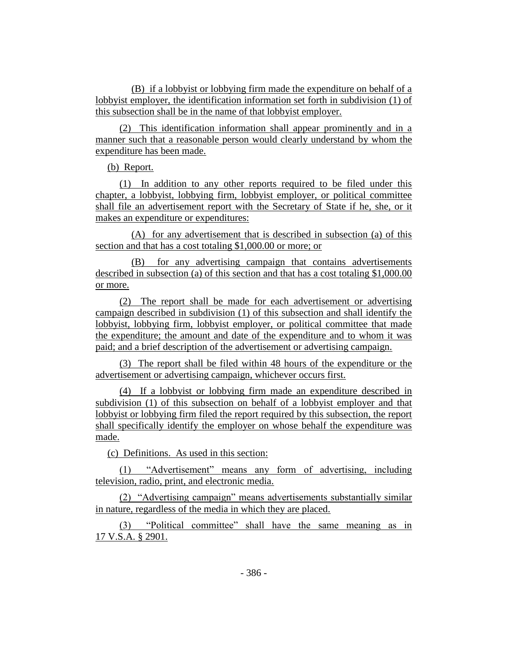(B) if a lobbyist or lobbying firm made the expenditure on behalf of a lobbyist employer, the identification information set forth in subdivision (1) of this subsection shall be in the name of that lobbyist employer.

(2) This identification information shall appear prominently and in a manner such that a reasonable person would clearly understand by whom the expenditure has been made.

(b) Report.

(1) In addition to any other reports required to be filed under this chapter, a lobbyist, lobbying firm, lobbyist employer, or political committee shall file an advertisement report with the Secretary of State if he, she, or it makes an expenditure or expenditures:

(A) for any advertisement that is described in subsection (a) of this section and that has a cost totaling \$1,000.00 or more; or

(B) for any advertising campaign that contains advertisements described in subsection (a) of this section and that has a cost totaling \$1,000.00 or more.

(2) The report shall be made for each advertisement or advertising campaign described in subdivision (1) of this subsection and shall identify the lobbyist, lobbying firm, lobbyist employer, or political committee that made the expenditure; the amount and date of the expenditure and to whom it was paid; and a brief description of the advertisement or advertising campaign.

(3) The report shall be filed within 48 hours of the expenditure or the advertisement or advertising campaign, whichever occurs first.

(4) If a lobbyist or lobbying firm made an expenditure described in subdivision (1) of this subsection on behalf of a lobbyist employer and that lobbyist or lobbying firm filed the report required by this subsection, the report shall specifically identify the employer on whose behalf the expenditure was made.

(c) Definitions. As used in this section:

(1) "Advertisement" means any form of advertising, including television, radio, print, and electronic media.

(2) "Advertising campaign" means advertisements substantially similar in nature, regardless of the media in which they are placed.

(3) "Political committee" shall have the same meaning as in 17 V.S.A. § 2901.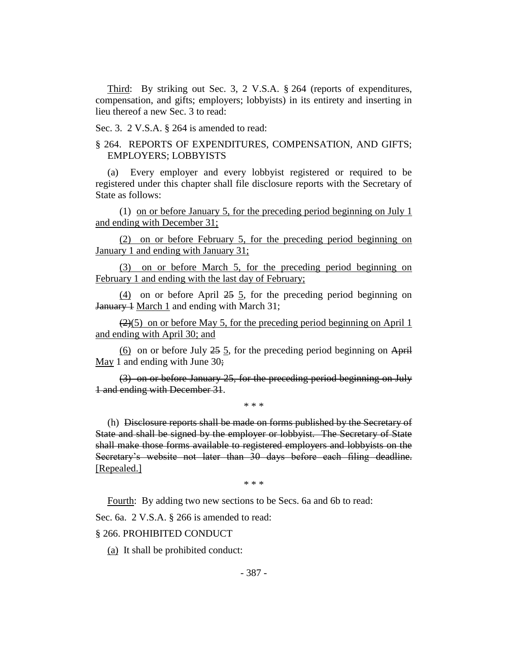Third: By striking out Sec. 3, 2 V.S.A. § 264 (reports of expenditures, compensation, and gifts; employers; lobbyists) in its entirety and inserting in lieu thereof a new Sec. 3 to read:

Sec. 3. 2 V.S.A. § 264 is amended to read:

## § 264. REPORTS OF EXPENDITURES, COMPENSATION, AND GIFTS; EMPLOYERS; LOBBYISTS

(a) Every employer and every lobbyist registered or required to be registered under this chapter shall file disclosure reports with the Secretary of State as follows:

(1) on or before January 5, for the preceding period beginning on July 1 and ending with December 31;

(2) on or before February 5, for the preceding period beginning on January 1 and ending with January 31;

(3) on or before March 5, for the preceding period beginning on February 1 and ending with the last day of February;

(4) on or before April 25 5, for the preceding period beginning on January  $\frac{1}{2}$  March  $\frac{1}{2}$  and ending with March 31;

 $(2)(5)$  on or before May 5, for the preceding period beginning on April 1 and ending with April 30; and

(6) on or before July  $25$  5, for the preceding period beginning on April May 1 and ending with June 30;

(3) on or before January 25, for the preceding period beginning on July 1 and ending with December 31.

\* \* \*

(h) Disclosure reports shall be made on forms published by the Secretary of State and shall be signed by the employer or lobbyist. The Secretary of State shall make those forms available to registered employers and lobbyists on the Secretary's website not later than 30 days before each filing deadline. [Repealed.]

\* \* \*

Fourth: By adding two new sections to be Secs. 6a and 6b to read:

Sec. 6a. 2 V.S.A. § 266 is amended to read:

§ 266. PROHIBITED CONDUCT

(a) It shall be prohibited conduct: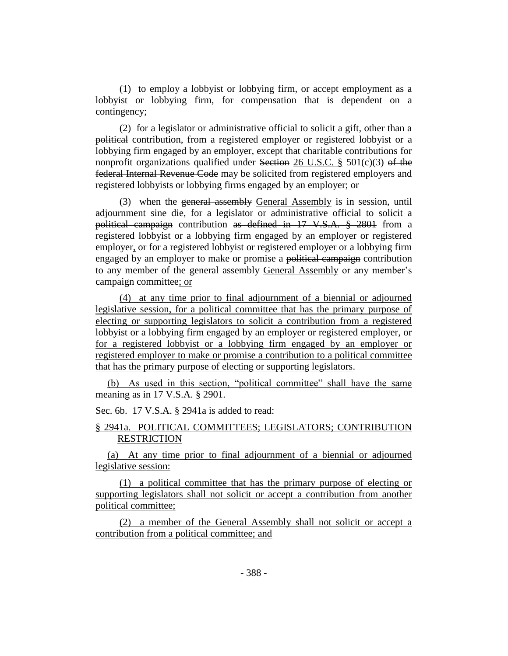(1) to employ a lobbyist or lobbying firm, or accept employment as a lobbyist or lobbying firm, for compensation that is dependent on a contingency;

(2) for a legislator or administrative official to solicit a gift, other than a political contribution, from a registered employer or registered lobbyist or a lobbying firm engaged by an employer, except that charitable contributions for nonprofit organizations qualified under Section 26 U.S.C.  $\S$  501(c)(3) of the federal Internal Revenue Code may be solicited from registered employers and registered lobbyists or lobbying firms engaged by an employer; or

(3) when the general assembly General Assembly is in session, until adjournment sine die, for a legislator or administrative official to solicit a political campaign contribution as defined in 17 V.S.A. § 2801 from a registered lobbyist or a lobbying firm engaged by an employer or registered employer, or for a registered lobbyist or registered employer or a lobbying firm engaged by an employer to make or promise a political campaign contribution to any member of the general assembly General Assembly or any member's campaign committee; or

(4) at any time prior to final adjournment of a biennial or adjourned legislative session, for a political committee that has the primary purpose of electing or supporting legislators to solicit a contribution from a registered lobbyist or a lobbying firm engaged by an employer or registered employer, or for a registered lobbyist or a lobbying firm engaged by an employer or registered employer to make or promise a contribution to a political committee that has the primary purpose of electing or supporting legislators.

(b) As used in this section, "political committee" shall have the same meaning as in 17 V.S.A. § 2901.

Sec. 6b. 17 V.S.A. § 2941a is added to read:

## § 2941a. POLITICAL COMMITTEES; LEGISLATORS; CONTRIBUTION **RESTRICTION**

(a) At any time prior to final adjournment of a biennial or adjourned legislative session:

(1) a political committee that has the primary purpose of electing or supporting legislators shall not solicit or accept a contribution from another political committee;

(2) a member of the General Assembly shall not solicit or accept a contribution from a political committee; and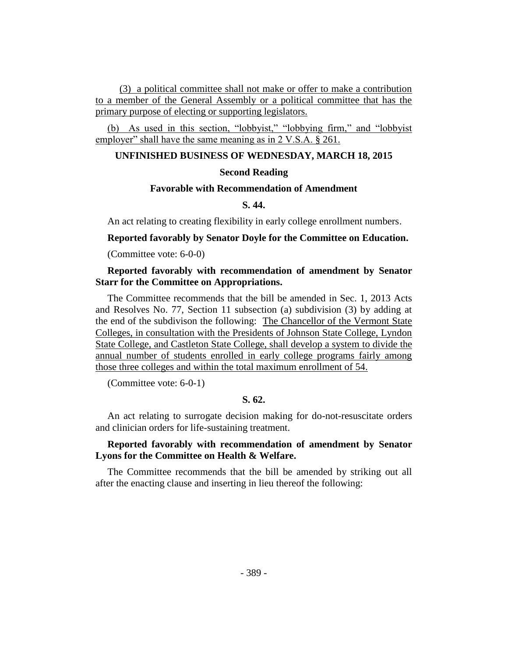(3) a political committee shall not make or offer to make a contribution to a member of the General Assembly or a political committee that has the primary purpose of electing or supporting legislators.

(b) As used in this section, "lobbyist," "lobbying firm," and "lobbyist employer" shall have the same meaning as in 2 V.S.A. § 261.

## **UNFINISHED BUSINESS OF WEDNESDAY, MARCH 18, 2015**

## **Second Reading**

## **Favorable with Recommendation of Amendment**

## **S. 44.**

An act relating to creating flexibility in early college enrollment numbers.

**Reported favorably by Senator Doyle for the Committee on Education.**

(Committee vote: 6-0-0)

## **Reported favorably with recommendation of amendment by Senator Starr for the Committee on Appropriations.**

The Committee recommends that the bill be amended in Sec. 1, 2013 Acts and Resolves No. 77, Section 11 subsection (a) subdivision (3) by adding at the end of the subdivison the following: The Chancellor of the Vermont State Colleges, in consultation with the Presidents of Johnson State College, Lyndon State College, and Castleton State College, shall develop a system to divide the annual number of students enrolled in early college programs fairly among those three colleges and within the total maximum enrollment of 54.

(Committee vote: 6-0-1)

## **S. 62.**

An act relating to surrogate decision making for do-not-resuscitate orders and clinician orders for life-sustaining treatment.

## **Reported favorably with recommendation of amendment by Senator Lyons for the Committee on Health & Welfare.**

The Committee recommends that the bill be amended by striking out all after the enacting clause and inserting in lieu thereof the following: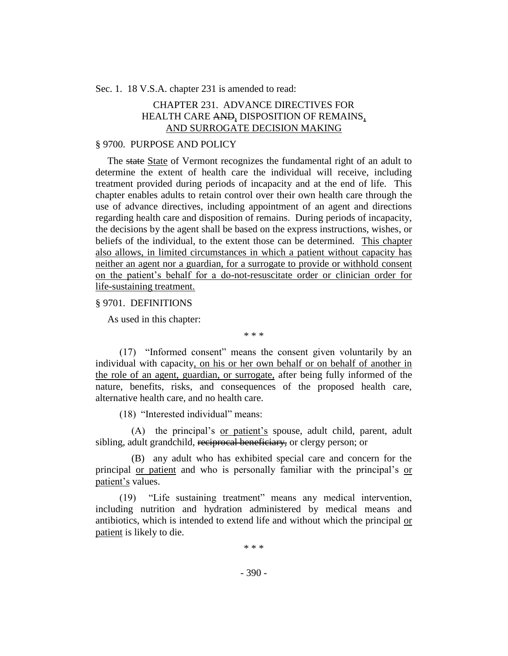Sec. 1. 18 V.S.A. chapter 231 is amended to read:

## CHAPTER 231. ADVANCE DIRECTIVES FOR HEALTH CARE AND, DISPOSITION OF REMAINS, AND SURROGATE DECISION MAKING

#### § 9700. PURPOSE AND POLICY

The state State of Vermont recognizes the fundamental right of an adult to determine the extent of health care the individual will receive, including treatment provided during periods of incapacity and at the end of life. This chapter enables adults to retain control over their own health care through the use of advance directives, including appointment of an agent and directions regarding health care and disposition of remains. During periods of incapacity, the decisions by the agent shall be based on the express instructions, wishes, or beliefs of the individual, to the extent those can be determined. This chapter also allows, in limited circumstances in which a patient without capacity has neither an agent nor a guardian, for a surrogate to provide or withhold consent on the patient's behalf for a do-not-resuscitate order or clinician order for life-sustaining treatment.

## § 9701. DEFINITIONS

As used in this chapter:

\* \* \*

(17) "Informed consent" means the consent given voluntarily by an individual with capacity, on his or her own behalf or on behalf of another in the role of an agent, guardian, or surrogate, after being fully informed of the nature, benefits, risks, and consequences of the proposed health care, alternative health care, and no health care.

(18) "Interested individual" means:

(A) the principal's or patient's spouse, adult child, parent, adult sibling, adult grandchild, reciprocal beneficiary, or clergy person; or

(B) any adult who has exhibited special care and concern for the principal or patient and who is personally familiar with the principal's or patient's values.

(19) "Life sustaining treatment" means any medical intervention, including nutrition and hydration administered by medical means and antibiotics, which is intended to extend life and without which the principal or patient is likely to die.

\* \* \*

- 390 -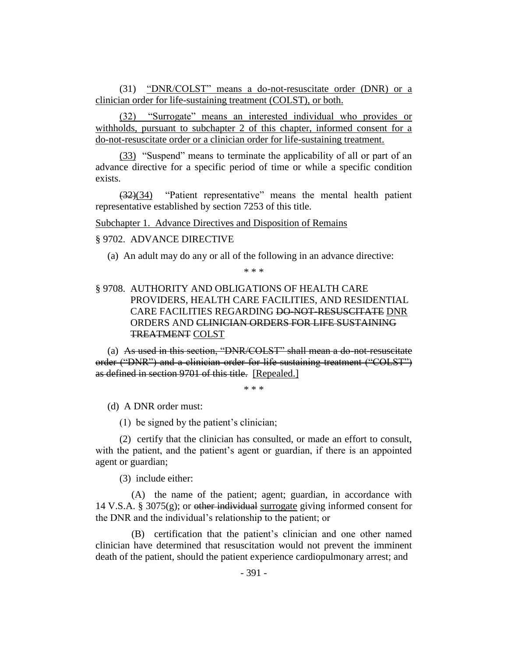(31) "DNR/COLST" means a do-not-resuscitate order (DNR) or a clinician order for life-sustaining treatment (COLST), or both.

(32) "Surrogate" means an interested individual who provides or withholds, pursuant to subchapter 2 of this chapter, informed consent for a do-not-resuscitate order or a clinician order for life-sustaining treatment.

(33) "Suspend" means to terminate the applicability of all or part of an advance directive for a specific period of time or while a specific condition exists.

(32)(34) "Patient representative" means the mental health patient representative established by section 7253 of this title.

Subchapter 1. Advance Directives and Disposition of Remains

#### § 9702. ADVANCE DIRECTIVE

(a) An adult may do any or all of the following in an advance directive:

\* \* \*

## § 9708. AUTHORITY AND OBLIGATIONS OF HEALTH CARE PROVIDERS, HEALTH CARE FACILITIES, AND RESIDENTIAL CARE FACILITIES REGARDING DO-NOT-RESUSCITATE DNR ORDERS AND CLINICIAN ORDERS FOR LIFE SUSTAINING TREATMENT COLST

(a) As used in this section, "DNR/COLST" shall mean a do-not-resuscitate order ("DNR") and a clinician order for life-sustaining treatment ("COLST") as defined in section 9701 of this title. [Repealed.]

\* \* \*

(d) A DNR order must:

(1) be signed by the patient's clinician;

(2) certify that the clinician has consulted, or made an effort to consult, with the patient, and the patient's agent or guardian, if there is an appointed agent or guardian;

(3) include either:

(A) the name of the patient; agent; guardian, in accordance with 14 V.S.A. § 3075 $(g)$ ; or other individual surrogate giving informed consent for the DNR and the individual's relationship to the patient; or

(B) certification that the patient's clinician and one other named clinician have determined that resuscitation would not prevent the imminent death of the patient, should the patient experience cardiopulmonary arrest; and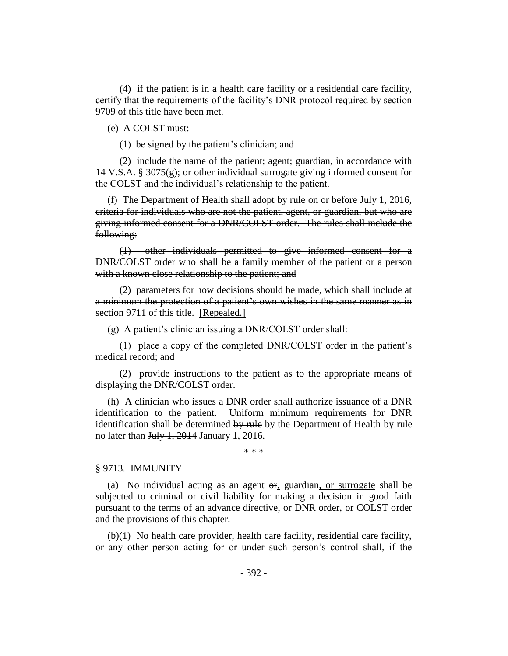(4) if the patient is in a health care facility or a residential care facility, certify that the requirements of the facility's DNR protocol required by section 9709 of this title have been met.

(e) A COLST must:

(1) be signed by the patient's clinician; and

(2) include the name of the patient; agent; guardian, in accordance with 14 V.S.A. § 3075(g); or <del>other individual</del> surrogate giving informed consent for the COLST and the individual's relationship to the patient.

(f) The Department of Health shall adopt by rule on or before July 1, 2016, criteria for individuals who are not the patient, agent, or guardian, but who are giving informed consent for a DNR/COLST order. The rules shall include the following:

(1) other individuals permitted to give informed consent for a DNR/COLST order who shall be a family member of the patient or a person with a known close relationship to the patient; and

(2) parameters for how decisions should be made, which shall include at a minimum the protection of a patient's own wishes in the same manner as in section 9711 of this title. [Repealed.]

(g) A patient's clinician issuing a DNR/COLST order shall:

(1) place a copy of the completed DNR/COLST order in the patient's medical record; and

(2) provide instructions to the patient as to the appropriate means of displaying the DNR/COLST order.

(h) A clinician who issues a DNR order shall authorize issuance of a DNR identification to the patient. Uniform minimum requirements for DNR identification shall be determined by rule by the Department of Health by rule no later than July 1, 2014 January 1, 2016.

\* \* \*

#### § 9713. IMMUNITY

(a) No individual acting as an agent  $\theta$ , guardian, or surrogate shall be subjected to criminal or civil liability for making a decision in good faith pursuant to the terms of an advance directive, or DNR order, or COLST order and the provisions of this chapter.

(b)(1) No health care provider, health care facility, residential care facility, or any other person acting for or under such person's control shall, if the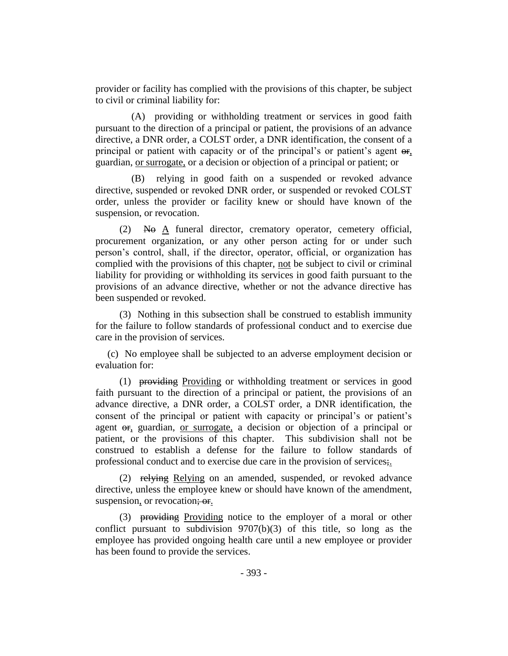provider or facility has complied with the provisions of this chapter, be subject to civil or criminal liability for:

(A) providing or withholding treatment or services in good faith pursuant to the direction of a principal or patient, the provisions of an advance directive, a DNR order, a COLST order, a DNR identification, the consent of a principal or patient with capacity or of the principal's or patient's agent  $\Theta$ . guardian, or surrogate, or a decision or objection of a principal or patient; or

(B) relying in good faith on a suspended or revoked advance directive, suspended or revoked DNR order, or suspended or revoked COLST order, unless the provider or facility knew or should have known of the suspension, or revocation.

 $(2)$  No A funeral director, crematory operator, cemetery official, procurement organization, or any other person acting for or under such person's control, shall, if the director, operator, official, or organization has complied with the provisions of this chapter, not be subject to civil or criminal liability for providing or withholding its services in good faith pursuant to the provisions of an advance directive, whether or not the advance directive has been suspended or revoked.

(3) Nothing in this subsection shall be construed to establish immunity for the failure to follow standards of professional conduct and to exercise due care in the provision of services.

(c) No employee shall be subjected to an adverse employment decision or evaluation for:

(1) providing Providing or withholding treatment or services in good faith pursuant to the direction of a principal or patient, the provisions of an advance directive, a DNR order, a COLST order, a DNR identification, the consent of the principal or patient with capacity or principal's or patient's agent  $\Theta$ <sub>r</sub>, guardian, <u>or surrogate</u>, a decision or objection of a principal or patient, or the provisions of this chapter. This subdivision shall not be construed to establish a defense for the failure to follow standards of professional conduct and to exercise due care in the provision of services;.

(2) relying Relying on an amended, suspended, or revoked advance directive, unless the employee knew or should have known of the amendment, suspension, or revocation; or.

(3) providing Providing notice to the employer of a moral or other conflict pursuant to subdivision 9707(b)(3) of this title, so long as the employee has provided ongoing health care until a new employee or provider has been found to provide the services.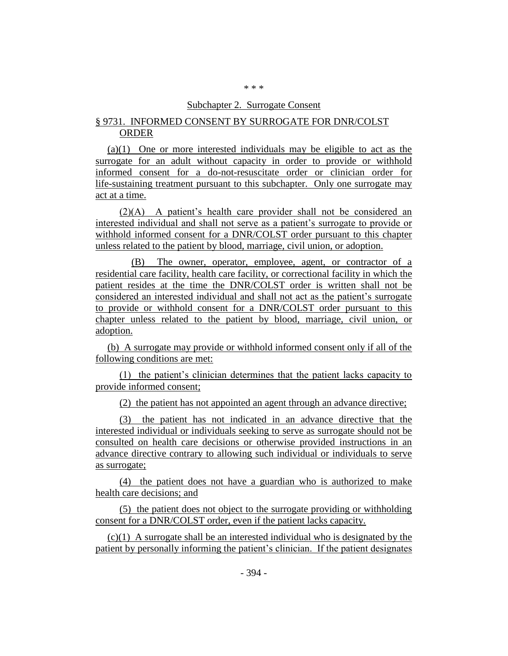#### \* \* \*

### Subchapter 2. Surrogate Consent

## § 9731. INFORMED CONSENT BY SURROGATE FOR DNR/COLST ORDER

(a)(1) One or more interested individuals may be eligible to act as the surrogate for an adult without capacity in order to provide or withhold informed consent for a do-not-resuscitate order or clinician order for life-sustaining treatment pursuant to this subchapter. Only one surrogate may act at a time.

(2)(A) A patient's health care provider shall not be considered an interested individual and shall not serve as a patient's surrogate to provide or withhold informed consent for a DNR/COLST order pursuant to this chapter unless related to the patient by blood, marriage, civil union, or adoption.

(B) The owner, operator, employee, agent, or contractor of a residential care facility, health care facility, or correctional facility in which the patient resides at the time the DNR/COLST order is written shall not be considered an interested individual and shall not act as the patient's surrogate to provide or withhold consent for a DNR/COLST order pursuant to this chapter unless related to the patient by blood, marriage, civil union, or adoption.

(b) A surrogate may provide or withhold informed consent only if all of the following conditions are met:

(1) the patient's clinician determines that the patient lacks capacity to provide informed consent;

(2) the patient has not appointed an agent through an advance directive;

(3) the patient has not indicated in an advance directive that the interested individual or individuals seeking to serve as surrogate should not be consulted on health care decisions or otherwise provided instructions in an advance directive contrary to allowing such individual or individuals to serve as surrogate;

(4) the patient does not have a guardian who is authorized to make health care decisions; and

(5) the patient does not object to the surrogate providing or withholding consent for a DNR/COLST order, even if the patient lacks capacity.

(c)(1) A surrogate shall be an interested individual who is designated by the patient by personally informing the patient's clinician. If the patient designates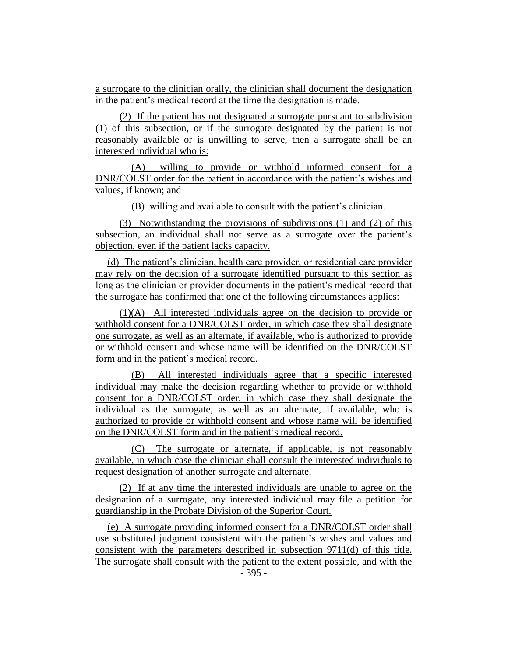a surrogate to the clinician orally, the clinician shall document the designation in the patient's medical record at the time the designation is made.

(2) If the patient has not designated a surrogate pursuant to subdivision (1) of this subsection, or if the surrogate designated by the patient is not reasonably available or is unwilling to serve, then a surrogate shall be an interested individual who is:

(A) willing to provide or withhold informed consent for a DNR/COLST order for the patient in accordance with the patient's wishes and values, if known; and

(B) willing and available to consult with the patient's clinician.

(3) Notwithstanding the provisions of subdivisions (1) and (2) of this subsection, an individual shall not serve as a surrogate over the patient's objection, even if the patient lacks capacity.

(d) The patient's clinician, health care provider, or residential care provider may rely on the decision of a surrogate identified pursuant to this section as long as the clinician or provider documents in the patient's medical record that the surrogate has confirmed that one of the following circumstances applies:

(1)(A) All interested individuals agree on the decision to provide or withhold consent for a DNR/COLST order, in which case they shall designate one surrogate, as well as an alternate, if available, who is authorized to provide or withhold consent and whose name will be identified on the DNR/COLST form and in the patient's medical record.

(B) All interested individuals agree that a specific interested individual may make the decision regarding whether to provide or withhold consent for a DNR/COLST order, in which case they shall designate the individual as the surrogate, as well as an alternate, if available, who is authorized to provide or withhold consent and whose name will be identified on the DNR/COLST form and in the patient's medical record.

(C) The surrogate or alternate, if applicable, is not reasonably available, in which case the clinician shall consult the interested individuals to request designation of another surrogate and alternate.

(2) If at any time the interested individuals are unable to agree on the designation of a surrogate, any interested individual may file a petition for guardianship in the Probate Division of the Superior Court.

(e) A surrogate providing informed consent for a DNR/COLST order shall use substituted judgment consistent with the patient's wishes and values and consistent with the parameters described in subsection 9711(d) of this title. The surrogate shall consult with the patient to the extent possible, and with the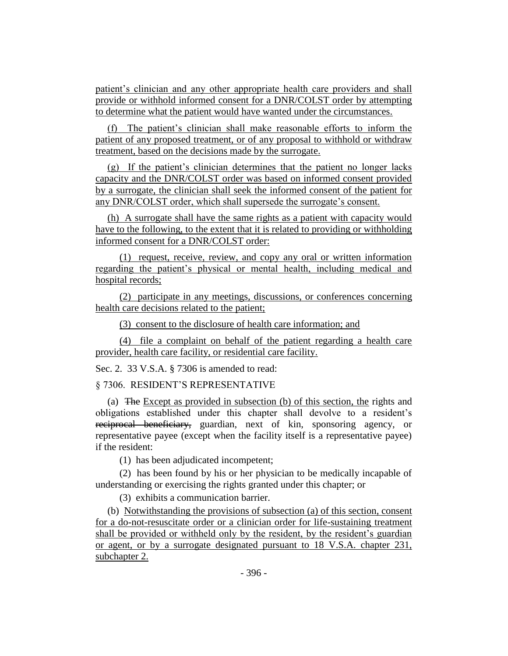patient's clinician and any other appropriate health care providers and shall provide or withhold informed consent for a DNR/COLST order by attempting to determine what the patient would have wanted under the circumstances.

(f) The patient's clinician shall make reasonable efforts to inform the patient of any proposed treatment, or of any proposal to withhold or withdraw treatment, based on the decisions made by the surrogate.

(g) If the patient's clinician determines that the patient no longer lacks capacity and the DNR/COLST order was based on informed consent provided by a surrogate, the clinician shall seek the informed consent of the patient for any DNR/COLST order, which shall supersede the surrogate's consent.

(h) A surrogate shall have the same rights as a patient with capacity would have to the following, to the extent that it is related to providing or withholding informed consent for a DNR/COLST order:

(1) request, receive, review, and copy any oral or written information regarding the patient's physical or mental health, including medical and hospital records;

(2) participate in any meetings, discussions, or conferences concerning health care decisions related to the patient;

(3) consent to the disclosure of health care information; and

(4) file a complaint on behalf of the patient regarding a health care provider, health care facility, or residential care facility.

Sec. 2. 33 V.S.A. § 7306 is amended to read:

§ 7306. RESIDENT'S REPRESENTATIVE

(a) The Except as provided in subsection (b) of this section, the rights and obligations established under this chapter shall devolve to a resident's reciprocal beneficiary, guardian, next of kin, sponsoring agency, or representative payee (except when the facility itself is a representative payee) if the resident:

(1) has been adjudicated incompetent;

(2) has been found by his or her physician to be medically incapable of understanding or exercising the rights granted under this chapter; or

(3) exhibits a communication barrier.

(b) Notwithstanding the provisions of subsection (a) of this section, consent for a do-not-resuscitate order or a clinician order for life-sustaining treatment shall be provided or withheld only by the resident, by the resident's guardian or agent, or by a surrogate designated pursuant to 18 V.S.A. chapter 231, subchapter 2.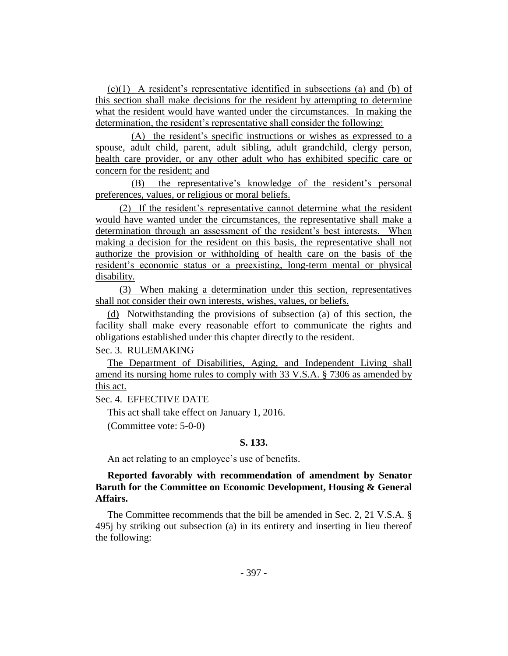(c)(1) A resident's representative identified in subsections (a) and (b) of this section shall make decisions for the resident by attempting to determine what the resident would have wanted under the circumstances. In making the determination, the resident's representative shall consider the following:

(A) the resident's specific instructions or wishes as expressed to a spouse, adult child, parent, adult sibling, adult grandchild, clergy person, health care provider, or any other adult who has exhibited specific care or concern for the resident; and

(B) the representative's knowledge of the resident's personal preferences, values, or religious or moral beliefs.

(2) If the resident's representative cannot determine what the resident would have wanted under the circumstances, the representative shall make a determination through an assessment of the resident's best interests. When making a decision for the resident on this basis, the representative shall not authorize the provision or withholding of health care on the basis of the resident's economic status or a preexisting, long-term mental or physical disability.

(3) When making a determination under this section, representatives shall not consider their own interests, wishes, values, or beliefs.

(d) Notwithstanding the provisions of subsection (a) of this section, the facility shall make every reasonable effort to communicate the rights and obligations established under this chapter directly to the resident.

Sec. 3. RULEMAKING

The Department of Disabilities, Aging, and Independent Living shall amend its nursing home rules to comply with 33 V.S.A. § 7306 as amended by this act.

Sec. 4. EFFECTIVE DATE

This act shall take effect on January 1, 2016.

(Committee vote: 5-0-0)

## **S. 133.**

An act relating to an employee's use of benefits.

## **Reported favorably with recommendation of amendment by Senator Baruth for the Committee on Economic Development, Housing & General Affairs.**

The Committee recommends that the bill be amended in Sec. 2, 21 V.S.A. § 495j by striking out subsection (a) in its entirety and inserting in lieu thereof the following: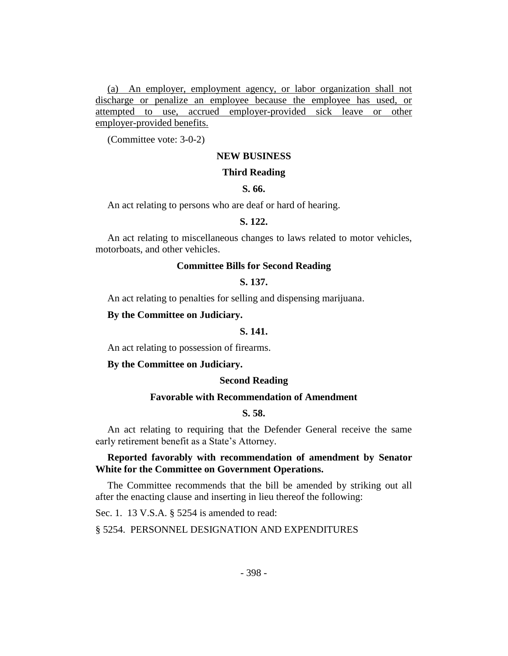(a) An employer, employment agency, or labor organization shall not discharge or penalize an employee because the employee has used, or attempted to use, accrued employer-provided sick leave or other employer-provided benefits.

(Committee vote: 3-0-2)

## **NEW BUSINESS**

#### **Third Reading**

#### **S. 66.**

An act relating to persons who are deaf or hard of hearing.

#### **S. 122.**

An act relating to miscellaneous changes to laws related to motor vehicles, motorboats, and other vehicles.

## **Committee Bills for Second Reading**

## **S. 137.**

An act relating to penalties for selling and dispensing marijuana.

#### **By the Committee on Judiciary.**

#### **S. 141.**

An act relating to possession of firearms.

#### **By the Committee on Judiciary.**

#### **Second Reading**

## **Favorable with Recommendation of Amendment**

#### **S. 58.**

An act relating to requiring that the Defender General receive the same early retirement benefit as a State's Attorney.

## **Reported favorably with recommendation of amendment by Senator White for the Committee on Government Operations.**

The Committee recommends that the bill be amended by striking out all after the enacting clause and inserting in lieu thereof the following:

Sec. 1. 13 V.S.A. § 5254 is amended to read:

## § 5254. PERSONNEL DESIGNATION AND EXPENDITURES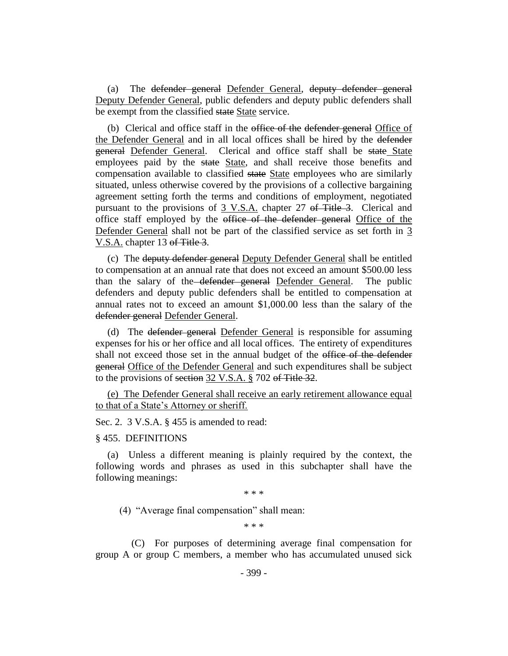(a) The defender general Defender General, deputy defender general Deputy Defender General, public defenders and deputy public defenders shall be exempt from the classified state State service.

(b) Clerical and office staff in the office of the defender general Office of the Defender General and in all local offices shall be hired by the defender general Defender General. Clerical and office staff shall be state State employees paid by the state State, and shall receive those benefits and compensation available to classified state State employees who are similarly situated, unless otherwise covered by the provisions of a collective bargaining agreement setting forth the terms and conditions of employment, negotiated pursuant to the provisions of 3 V.S.A. chapter 27 of Title 3. Clerical and office staff employed by the office of the defender general Office of the Defender General shall not be part of the classified service as set forth in 3 V.S.A. chapter 13 of Title 3.

(c) The deputy defender general Deputy Defender General shall be entitled to compensation at an annual rate that does not exceed an amount \$500.00 less than the salary of the defender general Defender General. The public defenders and deputy public defenders shall be entitled to compensation at annual rates not to exceed an amount \$1,000.00 less than the salary of the defender general Defender General.

(d) The defender general Defender General is responsible for assuming expenses for his or her office and all local offices. The entirety of expenditures shall not exceed those set in the annual budget of the office of the defender general Office of the Defender General and such expenditures shall be subject to the provisions of section 32 V.S.A. § 702 of Title 32.

(e) The Defender General shall receive an early retirement allowance equal to that of a State's Attorney or sheriff.

Sec. 2. 3 V.S.A. § 455 is amended to read:

## § 455. DEFINITIONS

(a) Unless a different meaning is plainly required by the context, the following words and phrases as used in this subchapter shall have the following meanings:

\* \* \*

(4) "Average final compensation" shall mean:

\* \* \*

(C) For purposes of determining average final compensation for group A or group C members, a member who has accumulated unused sick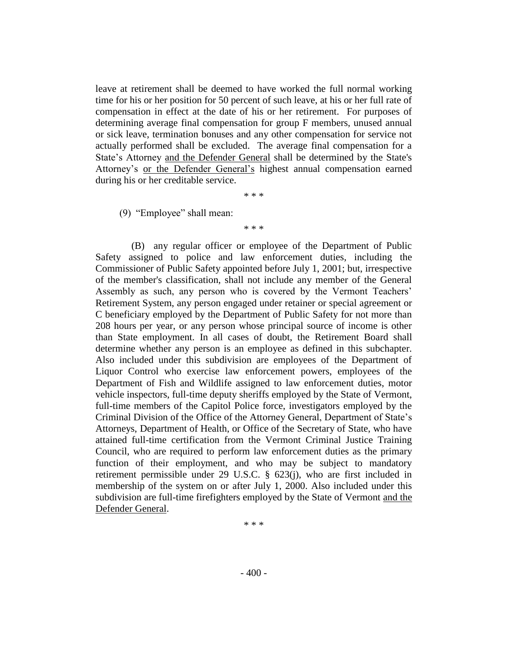leave at retirement shall be deemed to have worked the full normal working time for his or her position for 50 percent of such leave, at his or her full rate of compensation in effect at the date of his or her retirement. For purposes of determining average final compensation for group F members, unused annual or sick leave, termination bonuses and any other compensation for service not actually performed shall be excluded. The average final compensation for a State's Attorney and the Defender General shall be determined by the State's Attorney's or the Defender General's highest annual compensation earned during his or her creditable service.

\* \* \*

(9) "Employee" shall mean:

\* \* \*

(B) any regular officer or employee of the Department of Public Safety assigned to police and law enforcement duties, including the Commissioner of Public Safety appointed before July 1, 2001; but, irrespective of the member's classification, shall not include any member of the General Assembly as such, any person who is covered by the Vermont Teachers' Retirement System, any person engaged under retainer or special agreement or C beneficiary employed by the Department of Public Safety for not more than 208 hours per year, or any person whose principal source of income is other than State employment. In all cases of doubt, the Retirement Board shall determine whether any person is an employee as defined in this subchapter. Also included under this subdivision are employees of the Department of Liquor Control who exercise law enforcement powers, employees of the Department of Fish and Wildlife assigned to law enforcement duties, motor vehicle inspectors, full-time deputy sheriffs employed by the State of Vermont, full-time members of the Capitol Police force, investigators employed by the Criminal Division of the Office of the Attorney General, Department of State's Attorneys, Department of Health, or Office of the Secretary of State, who have attained full-time certification from the Vermont Criminal Justice Training Council, who are required to perform law enforcement duties as the primary function of their employment, and who may be subject to mandatory retirement permissible under 29 U.S.C. § 623(j), who are first included in membership of the system on or after July 1, 2000. Also included under this subdivision are full-time firefighters employed by the State of Vermont and the Defender General.

\* \* \*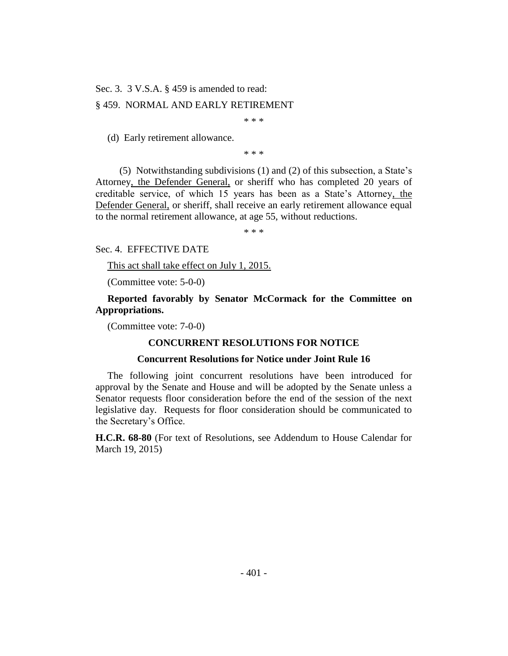Sec. 3. 3 V.S.A. § 459 is amended to read:

## § 459. NORMAL AND EARLY RETIREMENT

\* \* \*

(d) Early retirement allowance.

\* \* \*

(5) Notwithstanding subdivisions (1) and (2) of this subsection, a State's Attorney, the Defender General, or sheriff who has completed 20 years of creditable service, of which 15 years has been as a State's Attorney, the Defender General, or sheriff, shall receive an early retirement allowance equal to the normal retirement allowance, at age 55, without reductions.

\* \* \*

#### Sec. 4. EFFECTIVE DATE

This act shall take effect on July 1, 2015.

(Committee vote: 5-0-0)

**Reported favorably by Senator McCormack for the Committee on Appropriations.**

(Committee vote: 7-0-0)

#### **CONCURRENT RESOLUTIONS FOR NOTICE**

#### **Concurrent Resolutions for Notice under Joint Rule 16**

The following joint concurrent resolutions have been introduced for approval by the Senate and House and will be adopted by the Senate unless a Senator requests floor consideration before the end of the session of the next legislative day. Requests for floor consideration should be communicated to the Secretary's Office.

**H.C.R. 68-80** (For text of Resolutions, see Addendum to House Calendar for March 19, 2015)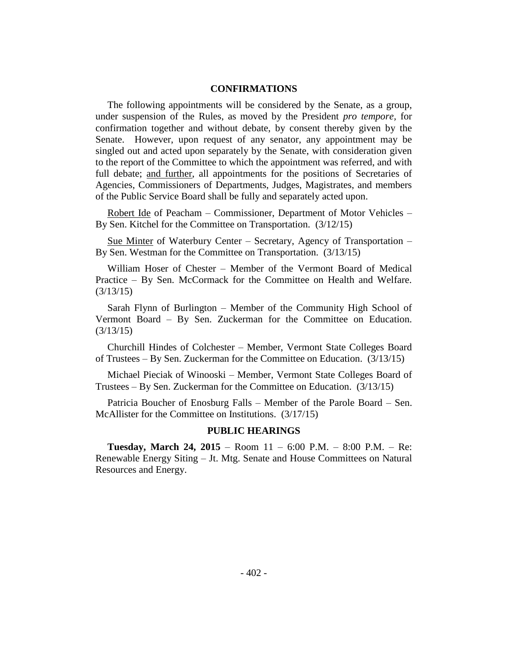## **CONFIRMATIONS**

The following appointments will be considered by the Senate, as a group, under suspension of the Rules, as moved by the President *pro tempore,* for confirmation together and without debate, by consent thereby given by the Senate. However, upon request of any senator, any appointment may be singled out and acted upon separately by the Senate, with consideration given to the report of the Committee to which the appointment was referred, and with full debate; and further, all appointments for the positions of Secretaries of Agencies, Commissioners of Departments, Judges, Magistrates, and members of the Public Service Board shall be fully and separately acted upon.

Robert Ide of Peacham – Commissioner, Department of Motor Vehicles – By Sen. Kitchel for the Committee on Transportation. (3/12/15)

Sue Minter of Waterbury Center – Secretary, Agency of Transportation – By Sen. Westman for the Committee on Transportation. (3/13/15)

William Hoser of Chester – Member of the Vermont Board of Medical Practice – By Sen. McCormack for the Committee on Health and Welfare. (3/13/15)

Sarah Flynn of Burlington – Member of the Community High School of Vermont Board – By Sen. Zuckerman for the Committee on Education. (3/13/15)

Churchill Hindes of Colchester – Member, Vermont State Colleges Board of Trustees – By Sen. Zuckerman for the Committee on Education. (3/13/15)

Michael Pieciak of Winooski – Member, Vermont State Colleges Board of Trustees – By Sen. Zuckerman for the Committee on Education. (3/13/15)

Patricia Boucher of Enosburg Falls – Member of the Parole Board – Sen. McAllister for the Committee on Institutions. (3/17/15)

#### **PUBLIC HEARINGS**

**Tuesday, March 24, 2015** – Room 11 – 6:00 P.M. – 8:00 P.M. – Re: Renewable Energy Siting – Jt. Mtg. Senate and House Committees on Natural Resources and Energy.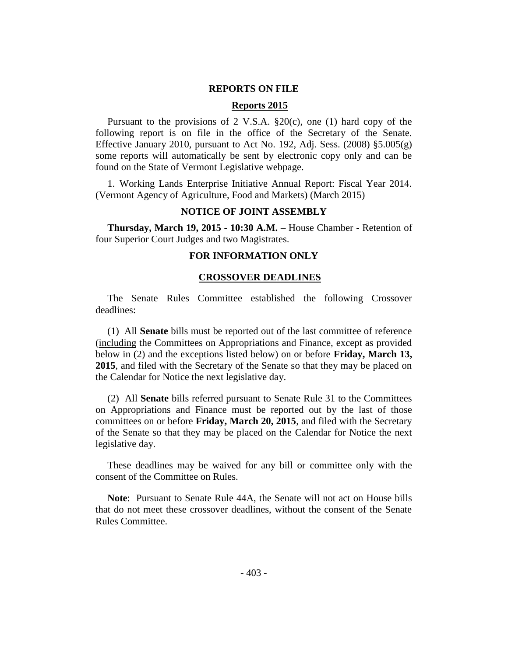## **REPORTS ON FILE**

## **Reports 2015**

Pursuant to the provisions of 2 V.S.A.  $\S20(c)$ , one (1) hard copy of the following report is on file in the office of the Secretary of the Senate. Effective January 2010, pursuant to Act No. 192, Adj. Sess. (2008) §5.005(g) some reports will automatically be sent by electronic copy only and can be found on the State of Vermont Legislative webpage.

1. Working Lands Enterprise Initiative Annual Report: Fiscal Year 2014. (Vermont Agency of Agriculture, Food and Markets) (March 2015)

## **NOTICE OF JOINT ASSEMBLY**

**Thursday, March 19, 2015 - 10:30 A.M.** – House Chamber - Retention of four Superior Court Judges and two Magistrates.

## **FOR INFORMATION ONLY**

#### **CROSSOVER DEADLINES**

The Senate Rules Committee established the following Crossover deadlines:

(1) All **Senate** bills must be reported out of the last committee of reference (including the Committees on Appropriations and Finance, except as provided below in (2) and the exceptions listed below) on or before **Friday, March 13, 2015**, and filed with the Secretary of the Senate so that they may be placed on the Calendar for Notice the next legislative day.

(2) All **Senate** bills referred pursuant to Senate Rule 31 to the Committees on Appropriations and Finance must be reported out by the last of those committees on or before **Friday, March 20, 2015**, and filed with the Secretary of the Senate so that they may be placed on the Calendar for Notice the next legislative day.

These deadlines may be waived for any bill or committee only with the consent of the Committee on Rules.

**Note**:Pursuant to Senate Rule 44A, the Senate will not act on House bills that do not meet these crossover deadlines, without the consent of the Senate Rules Committee.